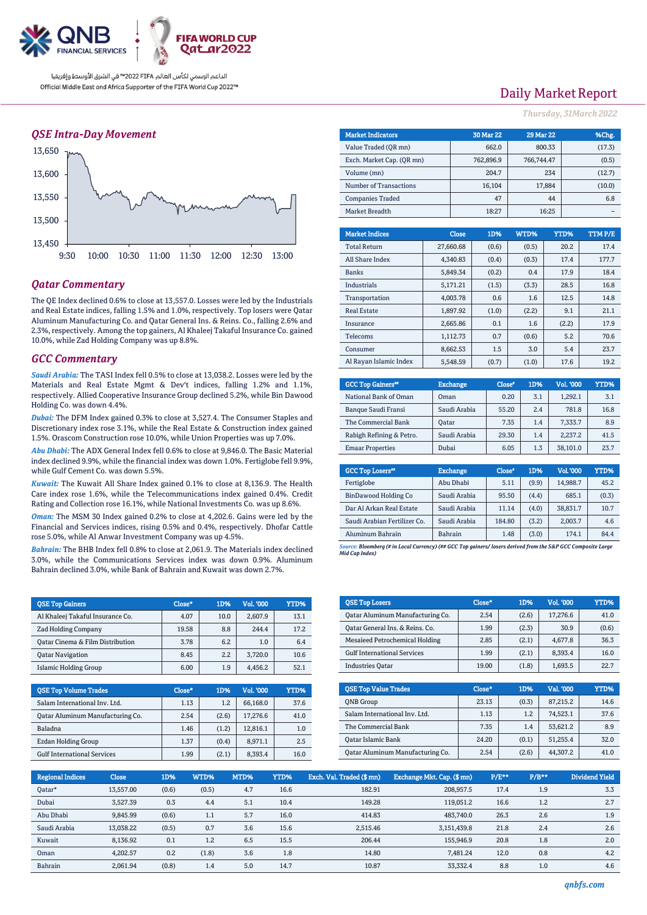

### *QSE Intra-Day Movement*



## *Qatar Commentary*

The QE Index declined 0.6% to close at 13,557.0. Losses were led by the Industrials and Real Estate indices, falling 1.5% and 1.0%, respectively. Top losers were Qatar Aluminum Manufacturing Co. and Qatar General Ins. & Reins. Co., falling 2.6% and 2.3%, respectively. Among the top gainers, Al Khaleej Takaful Insurance Co. gained 10.0%, while Zad Holding Company was up 8.8%.

### *GCC Commentary*

*Saudi Arabia:* The TASI Index fell 0.5% to close at 13,038.2. Losses were led by the Materials and Real Estate Mgmt & Dev't indices, falling 1.2% and 1.1%, respectively. Allied Cooperative Insurance Group declined 5.2%, while Bin Dawood Holding Co. was down 4.4%.

*Dubai:* The DFM Index gained 0.3% to close at 3,527.4. The Consumer Staples and Discretionary index rose 3.1%, while the Real Estate & Construction index gained 1.5%. Orascom Construction rose 10.0%, while Union Properties was up 7.0%.

*Abu Dhabi:* The ADX General Index fell 0.6% to close at 9,846.0. The Basic Material index declined 9.9%, while the financial index was down 1.0%. Fertiglobe fell 9.9%, while Gulf Cement Co. was down 5.5%.

*Kuwait:* The Kuwait All Share Index gained 0.1% to close at 8,136.9. The Health Care index rose 1.6%, while the Telecommunications index gained 0.4%. Credit Rating and Collection rose 16.1%, while National Investments Co. was up 8.6%.

*Oman:* The MSM 30 Index gained 0.2% to close at 4,202.6. Gains were led by the Financial and Services indices, rising 0.5% and 0.4%, respectively. Dhofar Cattle rose 5.0%, while Al Anwar Investment Company was up 4.5%.

*Bahrain:* The BHB Index fell 0.8% to close at 2,061.9. The Materials index declined 3.0%, while the Communications Services index was down 0.9%. Aluminum Bahrain declined 3.0%, while Bank of Bahrain and Kuwait was down 2.7%.

| <b>OSE Top Gainers</b>           | Close* | 1D%  | Vol. '000 | YTD% |
|----------------------------------|--------|------|-----------|------|
| Al Khaleej Takaful Insurance Co. | 4.07   | 10.0 | 2.607.9   | 13.1 |
| <b>Zad Holding Company</b>       | 19.58  | 8.8  | 244.4     | 17.2 |
| Oatar Cinema & Film Distribution | 3.78   | 6.2  | 1.0       | 6.4  |
| <b>Oatar Navigation</b>          | 8.45   | 2.2  | 3.720.0   | 10.6 |
| Islamic Holding Group            | 6.00   | 1.9  | 4.456.2   | 52.1 |

| <b>QSE Top Volume Trades</b>       | Close* | 1D%   | Vol. '000 | YTD% |
|------------------------------------|--------|-------|-----------|------|
| Salam International Inv. Ltd.      | 1.13   | 1.2   | 66.168.0  | 37.6 |
| Oatar Aluminum Manufacturing Co.   | 2.54   | (2.6) | 17.276.6  | 41.0 |
| Baladna                            | 1.46   | (1.2) | 12.816.1  | 1.0  |
| Ezdan Holding Group                | 1.37   | (0.4) | 8.971.1   | 2.5  |
| <b>Gulf International Services</b> | 1.99   | (2.1) | 8.393.4   | 16.0 |

# Daily Market Report

*Thursday, 31March2022*

| <b>Market Indicators</b>  |  |                | <b>30 Mar 22</b> | <b>29 Mar 22</b> |        | %Chg.  |
|---------------------------|--|----------------|------------------|------------------|--------|--------|
| Value Traded (QR mn)      |  |                | 662.0            |                  | 800.33 | (17.3) |
| Exch. Market Cap. (QR mn) |  | 762,896.9      | 766,744.47       |                  | (0.5)  |        |
| Volume (mn)               |  |                | 204.7            |                  | 234    | (12.7) |
| Number of Transactions    |  |                | 16,104           |                  | 17,884 | (10.0) |
| <b>Companies Traded</b>   |  |                | 47               |                  | 44     | 6.8    |
| Market Breadth            |  | 16:25<br>18:27 |                  |                  |        |        |
|                           |  |                |                  |                  |        |        |
| <b>Market Indices</b>     |  | <b>Close</b>   | 1D%              | WTD%             | YTD%   | TTMP/E |
| <b>Total Return</b>       |  | 27,660.68      | (0.6)            | (0.5)            | 20.2   | 17.4   |
| All Share Index           |  | 4,340.83       | (0.4)            | (0.3)            | 17.4   | 177.7  |
| <b>Banks</b>              |  | 5,849.34       | (0.2)            | 0.4              | 17.9   | 18.4   |
| <b>Industrials</b>        |  | 5,171.21       | (1.5)            | (3.3)            | 28.5   | 16.8   |
|                           |  |                |                  |                  |        |        |

| Transportation         | 4.003.78 | 0.6   | 1.6   | 12.5  | 14.8 |
|------------------------|----------|-------|-------|-------|------|
| <b>Real Estate</b>     | 1,897.92 | (1.0) | (2.2) | 9.1   | 21.1 |
| Insurance              | 2.665.86 | 0.1   | 1.6   | (2.2) | 17.9 |
| Telecoms               | 1.112.73 | 0.7   | (0.6) | 5.2   | 70.6 |
| Consumer               | 8.662.53 | 1.5   | 3.0   | 5.4   | 23.7 |
| Al Rayan Islamic Index | 5.548.59 | (0.7) | (1.0) | 17.6  | 19.2 |

| <b>GCC Top Gainers</b> " | <b>Exchange</b> | Close* | 1D% | Vol. '000 | YTD% |
|--------------------------|-----------------|--------|-----|-----------|------|
| National Bank of Oman    | Oman            | 0.20   | 3.1 | 1.292.1   | 3.1  |
| Banque Saudi Fransi      | Saudi Arabia    | 55.20  | 2.4 | 781.8     | 16.8 |
| The Commercial Bank      | Oatar           | 7.35   | 1.4 | 7.333.7   | 8.9  |
| Rabigh Refining & Petro. | Saudi Arabia    | 29.30  | 1.4 | 2.237.2   | 41.5 |
| <b>Emaar Properties</b>  | Dubai           | 6.05   | 1.3 | 38.101.0  | 23.7 |

| <b>GCC Top Losers"</b>       | <b>Exchange</b> | Close <sup>®</sup> | 1D%   | <b>Vol.'000</b> | YTD%  |
|------------------------------|-----------------|--------------------|-------|-----------------|-------|
| Fertiglobe                   | Abu Dhabi       | 5.11               | (9.9) | 14,988.7        | 45.2  |
| BinDawood Holding Co         | Saudi Arabia    | 95.50              | (4.4) | 685.1           | (0.3) |
| Dar Al Arkan Real Estate     | Saudi Arabia    | 11.14              | (4.0) | 38,831.7        | 10.7  |
| Saudi Arabian Fertilizer Co. | Saudi Arabia    | 184.80             | (3.2) | 2,003.7         | 4.6   |
| Aluminum Bahrain             | <b>Bahrain</b>  | 1.48               | (3.0) | 174.1           | 84.4  |

*Source: Bloomberg (# in Local Currency) (## GCC Top gainers/ losers derived from the S&P GCC Composite Large Mid Cap Index)*

| <b>QSE Top Losers</b>              | Close* | 1D%   | Vol. '000 | <b>YTD%</b> |
|------------------------------------|--------|-------|-----------|-------------|
| Oatar Aluminum Manufacturing Co.   | 2.54   | (2.6) | 17,276.6  | 41.0        |
| Oatar General Ins. & Reins. Co.    | 1.99   | (2.3) | 30.9      | (0.6)       |
| Mesaieed Petrochemical Holding     | 2.85   | (2.1) | 4,677.8   | 36.3        |
| <b>Gulf International Services</b> | 1.99   | (2.1) | 8,393.4   | 16.0        |
| <b>Industries Oatar</b>            | 19.00  | (1.8) | 1,693.5   | 22.7        |
|                                    |        |       |           |             |
|                                    |        |       |           |             |
| <b>OSE Top Value Trades</b>        | Close* | 1D%   | Val. '000 | <b>YTD%</b> |
| <b>ONB</b> Group                   | 23.13  | (0.3) | 87,215.2  | 14.6        |
| Salam International Inv. Ltd.      | 1.13   | 1.2   | 74,523.1  | 37.6        |
| The Commercial Bank                | 7.35   | 1.4   | 53,621.2  | 8.9         |
| <b>Oatar Islamic Bank</b>          | 24.20  | (0.1) | 51,255.4  | 32.0        |

| <b>Regional Indices</b> | <b>Close</b> | 1D%   | WTD%  | MTD% | YTD% | Exch. Val. Traded (\$mn) | Exchange Mkt. Cap. (\$mn) | P/E** | $P/B**$ | <b>Dividend Yield</b> |
|-------------------------|--------------|-------|-------|------|------|--------------------------|---------------------------|-------|---------|-----------------------|
| Qatar*                  | 13,557.00    | (0.6) | (0.5) | 4.7  | 16.6 | 182.91                   | 208.957.5                 | 17.4  | 1.9     | 3.3                   |
| Dubai                   | 3.527.39     | 0.3   | 4.4   | 5.1  | 10.4 | 149.28                   | 119.051.2                 | 16.6  | 1.2     | 2.7                   |
| Abu Dhabi               | 9,845.99     | (0.6) | 1.1   | 5.7  | 16.0 | 414.83                   | 483.740.0                 | 26.3  | 2.6     | 1.9                   |
| Saudi Arabia            | 13,038.22    | (0.5) | 0.7   | 3.6  | 15.6 | 2,515.46                 | 3.151.439.8               | 21.8  | 2.4     | 2.6                   |
| Kuwait                  | 8.136.92     | 0.1   | 1.2   | 6.5  | 15.5 | 206.44                   | 155.946.9                 | 20.8  | 1.8     | 2.0                   |
| Oman                    | 4.202.57     | 0.2   | (1.8) | 3.6  | 1.8  | 14.80                    | 7.481.24                  | 12.0  | 0.8     | 4.2                   |
| Bahrain                 | 2.061.94     | (0.8) | 1.4   | 5.0  | 14.7 | 10.87                    | 33.332.4                  | 8.8   | 1.0     | 4.6                   |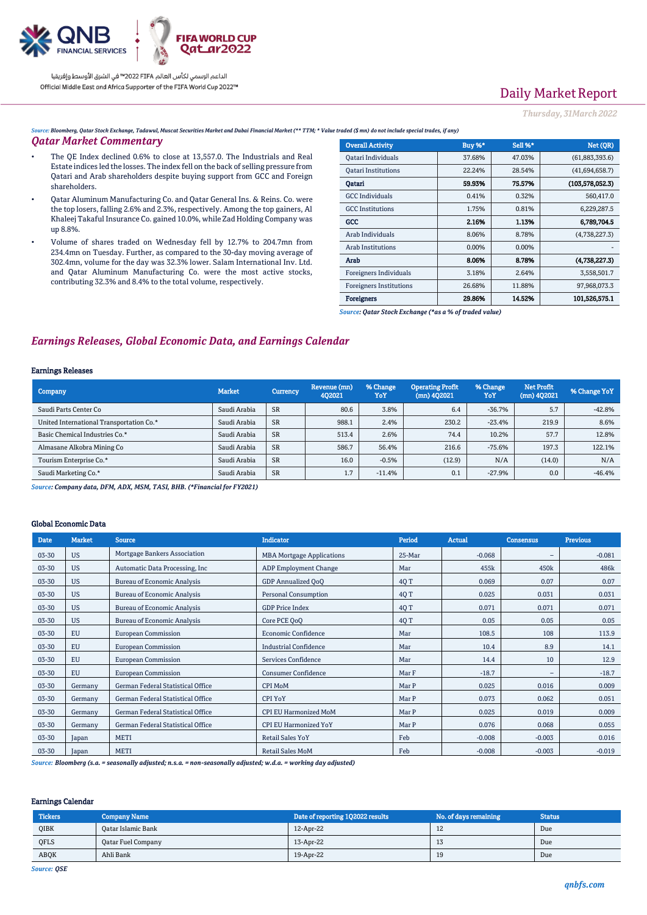

# Daily Market Report

*Thursday, 31March2022*

*Source: Bloomberg, Qatar Stock Exchange, Tadawul, Muscat Securities Market and Dubai Financial Market (\*\* TTM; \* Value traded (\$ mn) do not include special trades, if any)*

### *Qatar Market Commentary*

- The QE Index declined 0.6% to close at 13,557.0. The Industrials and Real Estate indices led the losses. The index fell on the back of selling pressure from Qatari and Arab shareholders despite buying support from GCC and Foreign shareholders.
- Qatar Aluminum Manufacturing Co. and Qatar General Ins. & Reins. Co. were the top losers, falling 2.6% and 2.3%, respectively. Among the top gainers, Al Khaleej Takaful Insurance Co. gained 10.0%, while Zad Holding Company was up 8.8%.
- Volume of shares traded on Wednesday fell by 12.7% to 204.7mn from 234.4mn on Tuesday. Further, as compared to the 30-day moving average of 302.4mn, volume for the day was 32.3% lower. Salam International Inv. Ltd. and Qatar Aluminum Manufacturing Co. were the most active stocks, contributing 32.3% and 8.4% to the total volume, respectively.

| <b>Overall Activity</b>        | Buy %* | Sell %* | Net (QR)          |
|--------------------------------|--------|---------|-------------------|
| Qatari Individuals             | 37.68% | 47.03%  | (61,883,393.6)    |
| <b>Oatari Institutions</b>     | 22.24% | 28.54%  | (41,694,658.7)    |
| Oatari                         | 59.93% | 75.57%  | (103, 578, 052.3) |
| <b>GCC</b> Individuals         | 0.41%  | 0.32%   | 560,417.0         |
| <b>GCC</b> Institutions        | 1.75%  | 0.81%   | 6,229,287.5       |
| GCC                            | 2.16%  | 1.13%   | 6.789.704.5       |
| Arab Individuals               | 8.06%  | 8.78%   | (4,738,227.3)     |
| <b>Arab Institutions</b>       | 0.00%  | 0.00%   |                   |
| Arab                           | 8.06%  | 8.78%   | (4,738,227.3)     |
| Foreigners Individuals         | 3.18%  | 2.64%   | 3,558,501.7       |
| <b>Foreigners Institutions</b> | 26.68% | 11.88%  | 97,968,073.3      |
| Foreigners                     | 29.86% | 14.52%  | 101.526.575.1     |

*Source: Qatar Stock Exchange (\*as a % of traded value)*

## *Earnings Releases, Global Economic Data, and Earnings Calendar*

#### Earnings Releases

| Company                                  | <b>Market</b> | <b>Currency</b> | Revenue (mn)<br>402021 | % Change<br>YoY | <b>Operating Profit</b><br>$(mn)$ 402021 | % Change<br>YoY | Net Profit<br>$(mn)$ 4Q2021 | % Change YoY |
|------------------------------------------|---------------|-----------------|------------------------|-----------------|------------------------------------------|-----------------|-----------------------------|--------------|
| Saudi Parts Center Co                    | Saudi Arabia  | <b>SR</b>       | 80.6                   | 3.8%            | 6.4                                      | $-36.7%$        | 5.7                         | $-42.8%$     |
| United International Transportation Co.* | Saudi Arabia  | <b>SR</b>       | 988.1                  | 2.4%            | 230.2                                    | $-2.3.4%$       | 219.9                       | 8.6%         |
| Basic Chemical Industries Co.*           | Saudi Arabia  | <b>SR</b>       | 513.4                  | 2.6%            | 74.4                                     | 10.2%           | 57.7                        | 12.8%        |
| Almasane Alkobra Mining Co               | Saudi Arabia  | <b>SR</b>       | 586.7                  | 56.4%           | 216.6                                    | $-75.6%$        | 197.3                       | 122.1%       |
| Tourism Enterprise Co.*                  | Saudi Arabia  | <b>SR</b>       | 16.0                   | $-0.5%$         | (12.9)                                   | N/A             | (14.0)                      | N/A          |
| Saudi Marketing Co.*                     | Saudi Arabia  | <b>SR</b>       | 1.7                    | $-11.4%$        | 0.1                                      | $-27.9%$        | 0.0                         | $-46.4%$     |

*Source: Company data, DFM, ADX, MSM, TASI, BHB. (\*Financial for FY2021)*

#### Global Economic Data

| <b>Date</b> | <b>Market</b> | <b>Source</b>                      | <b>Indicator</b>                 | Period | <b>Actual</b> | <b>Consensus</b> | <b>Previous</b> |
|-------------|---------------|------------------------------------|----------------------------------|--------|---------------|------------------|-----------------|
| 03-30       | <b>US</b>     | Mortgage Bankers Association       | <b>MBA Mortgage Applications</b> | 25-Mar | $-0.068$      | -                | $-0.081$        |
| 03-30       | <b>US</b>     | Automatic Data Processing, Inc.    | <b>ADP Employment Change</b>     | Mar    | 455k          | 450k             | 486k            |
| 03-30       | <b>US</b>     | <b>Bureau of Economic Analysis</b> | GDP Annualized OoO               | 4Q T   | 0.069         | 0.07             | 0.07            |
| 03-30       | <b>US</b>     | <b>Bureau of Economic Analysis</b> | <b>Personal Consumption</b>      | 4Q T   | 0.025         | 0.031            | 0.031           |
| 03-30       | <b>US</b>     | <b>Bureau of Economic Analysis</b> | <b>GDP Price Index</b>           | 4Q T   | 0.071         | 0.071            | 0.071           |
| 03-30       | <b>US</b>     | <b>Bureau of Economic Analysis</b> | Core PCE OoO                     | 4Q T   | 0.05          | 0.05             | 0.05            |
| 03-30       | EU            | <b>European Commission</b>         | <b>Economic Confidence</b>       | Mar    | 108.5         | 108              | 113.9           |
| 03-30       | EU            | <b>European Commission</b>         | <b>Industrial Confidence</b>     | Mar    | 10.4          | 8.9              | 14.1            |
| 03-30       | <b>EU</b>     | <b>European Commission</b>         | Services Confidence              | Mar    | 14.4          | 10               | 12.9            |
| 03-30       | EU            | <b>European Commission</b>         | <b>Consumer Confidence</b>       | Mar F  | $-18.7$       | ۰                | $-18.7$         |
| 03-30       | Germany       | German Federal Statistical Office  | CPI MoM                          | Mar P  | 0.025         | 0.016            | 0.009           |
| 03-30       | Germany       | German Federal Statistical Office  | <b>CPI YoY</b>                   | Mar P  | 0.073         | 0.062            | 0.051           |
| 03-30       | Germany       | German Federal Statistical Office  | <b>CPI EU Harmonized MoM</b>     | Mar P  | 0.025         | 0.019            | 0.009           |
| 03-30       | Germany       | German Federal Statistical Office  | <b>CPI EU Harmonized YoY</b>     | Mar P  | 0.076         | 0.068            | 0.055           |
| 03-30       | Japan         | <b>METI</b>                        | <b>Retail Sales YoY</b>          | Feb    | $-0.008$      | $-0.003$         | 0.016           |
| 03-30       | Japan         | <b>METI</b>                        | <b>Retail Sales MoM</b>          | Feb    | $-0.008$      | $-0.003$         | $-0.019$        |

*Source: Bloomberg (s.a. = seasonally adjusted; n.s.a. = non-seasonally adjusted; w.d.a. = working day adjusted)*

### Earnings Calendar

| <b>Tickers</b> | <b>Company Name</b>       | Date of reporting 1Q2022 results | No. of days remaining | <b>Status</b> |
|----------------|---------------------------|----------------------------------|-----------------------|---------------|
| QIBK           | Qatar Islamic Bank        | 12-Apr-22                        | $\overline{16}$       | Due           |
| <b>OFLS</b>    | <b>Qatar Fuel Company</b> | 13-Apr-22                        | ιJ                    | Due           |
| <b>ABOK</b>    | Ahli Bank                 | 19-Apr-22                        | 19                    | Due           |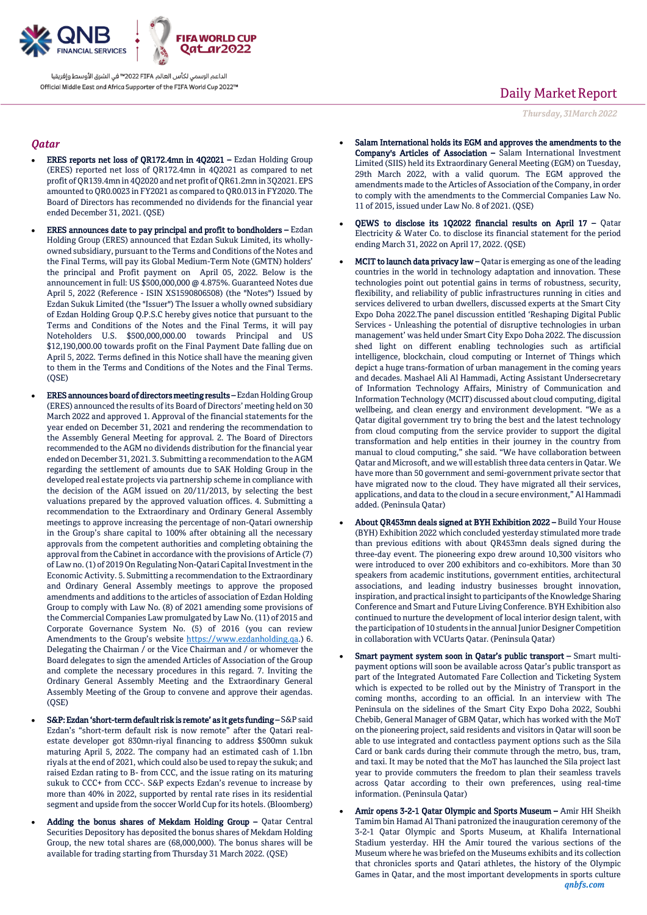

## *Qatar*

- ERES reports net loss of QR172.4mn in 4Q2021 Ezdan Holding Group (ERES) reported net loss of QR172.4mn in 4Q2021 as compared to net profit of QR139.4mn in 4Q2020 and net profit of QR61.2mn in 3Q2021. EPS amounted to QR0.0023 in FY2021 as compared to QR0.013 in FY2020. The Board of Directors has recommended no dividends for the financial year ended December 31, 2021. (QSE)
- ERES announces date to pay principal and profit to bondholders  $-$  Ezdan  $\,$ Holding Group (ERES) announced that Ezdan Sukuk Limited, its whollyowned subsidiary, pursuant to the Terms and Conditions of the Notes and the Final Terms, will pay its Global Medium-Term Note (GMTN) holders' the principal and Profit payment on April 05, 2022. Below is the announcement in full: US \$500,000,000 @ 4.875%. Guaranteed Notes due April 5, 2022 (Reference - ISIN XS1590806508) (the "Notes") Issued by Ezdan Sukuk Limited (the "Issuer") The Issuer a wholly owned subsidiary of Ezdan Holding Group Q.P.S.C hereby gives notice that pursuant to the Terms and Conditions of the Notes and the Final Terms, it will pay Noteholders U.S. \$500,000,000.00 towards Principal and US \$12,190,000.00 towards profit on the Final Payment Date falling due on April 5, 2022. Terms defined in this Notice shall have the meaning given to them in the Terms and Conditions of the Notes and the Final Terms.  $(OSE)$
- ERES announces board of directors meeting results Ezdan Holding Group (ERES) announced the results of its Board of Directors' meeting held on 30 March 2022 and approved 1. Approval of the financial statements for the year ended on December 31, 2021 and rendering the recommendation to the Assembly General Meeting for approval. 2. The Board of Directors recommended to the AGM no dividends distribution for the financial year ended on December 31, 2021. 3. Submitting a recommendation to the AGM regarding the settlement of amounts due to SAK Holding Group in the developed real estate projects via partnership scheme in compliance with the decision of the AGM issued on 20/11/2013, by selecting the best valuations prepared by the approved valuation offices. 4. Submitting a recommendation to the Extraordinary and Ordinary General Assembly meetings to approve increasing the percentage of non-Qatari ownership in the Group's share capital to 100% after obtaining all the necessary approvals from the competent authorities and completing obtaining the approval from the Cabinet in accordance with the provisions of Article (7) of Law no. (1) of 2019 On Regulating Non-Qatari Capital Investment in the Economic Activity. 5. Submitting a recommendation to the Extraordinary and Ordinary General Assembly meetings to approve the proposed amendments and additions to the articles of association of Ezdan Holding Group to comply with Law No. (8) of 2021 amending some provisions of the Commercial Companies Law promulgated by Law No. (11) of 2015 and Corporate Governance System No. (5) of 2016 (you can review Amendments to the Group's website [https://www.ezdanholding.qa.\)](https://www.ezdanholding.qa/) 6. Delegating the Chairman / or the Vice Chairman and / or whomever the Board delegates to sign the amended Articles of Association of the Group and complete the necessary procedures in this regard. 7. Inviting the Ordinary General Assembly Meeting and the Extraordinary General Assembly Meeting of the Group to convene and approve their agendas.  $(OSE)$
- S&P: Ezdan 'short-term default risk is remote' as it gets funding S&P said Ezdan's "short-term default risk is now remote" after the Qatari realestate developer got 830mn-riyal financing to address \$500mn sukuk maturing April 5, 2022. The company had an estimated cash of 1.1bn riyals at the end of 2021, which could also be used to repay the sukuk; and raised Ezdan rating to B- from CCC, and the issue rating on its maturing sukuk to CCC+ from CCC-. S&P expects Ezdan's revenue to increase by more than 40% in 2022, supported by rental rate rises in its residential segment and upside from the soccer World Cup for its hotels. (Bloomberg)
- Adding the bonus shares of Mekdam Holding Group Qatar Central Securities Depository has deposited the bonus shares of Mekdam Holding Group, the new total shares are (68,000,000). The bonus shares will be available for trading starting from Thursday 31 March 2022. (QSE)

# Daily Market Report

*Thursday, 31March2022*

- Salam International holds its EGM and approves the amendments to the Company's Articles of Association – Salam International Investment Limited (SIIS) held its Extraordinary General Meeting (EGM) on Tuesday, 29th March 2022, with a valid quorum. The EGM approved the amendments made to the Articles of Association of the Company, in order to comply with the amendments to the Commercial Companies Law No. 11 of 2015, issued under Law No. 8 of 2021. (QSE)
- QEWS to disclose its 1Q2022 financial results on April 17 Qatar Electricity & Water Co. to disclose its financial statement for the period ending March 31, 2022 on April 17, 2022. (QSE)
- MCIT to launch data privacy law Qatar is emerging as one of the leading countries in the world in technology adaptation and innovation. These technologies point out potential gains in terms of robustness, security, flexibility, and reliability of public infrastructures running in cities and services delivered to urban dwellers, discussed experts at the Smart City Expo Doha 2022.The panel discussion entitled 'Reshaping Digital Public Services - Unleashing the potential of disruptive technologies in urban management' was held under Smart City Expo Doha 2022. The discussion shed light on different enabling technologies such as artificial intelligence, blockchain, cloud computing or Internet of Things which depict a huge trans-formation of urban management in the coming years and decades. Mashael Ali Al Hammadi, Acting Assistant Undersecretary of Information Technology Affairs, Ministry of Communication and Information Technology (MCIT) discussed about cloud computing, digital wellbeing, and clean energy and environment development. "We as a Qatar digital government try to bring the best and the latest technology from cloud computing from the service provider to support the digital transformation and help entities in their journey in the country from manual to cloud computing," she said. "We have collaboration between Qatar and Microsoft, and we will establish three data centers in Qatar. We have more than 50 government and semi-government private sector that have migrated now to the cloud. They have migrated all their services, applications, and data to the cloud in a secure environment," Al Hammadi added. (Peninsula Qatar)
- About QR453mn deals signed at BYH Exhibition 2022 Build Your House (BYH) Exhibition 2022 which concluded yesterday stimulated more trade than previous editions with about QR453mn deals signed during the three-day event. The pioneering expo drew around 10,300 visitors who were introduced to over 200 exhibitors and co-exhibitors. More than 30 speakers from academic institutions, government entities, architectural associations, and leading industry businesses brought innovation, inspiration, and practical insight to participants of the Knowledge Sharing Conference and Smart and Future Living Conference. BYH Exhibition also continued to nurture the development of local interior design talent, with the participation of 10 students in the annual Junior Designer Competition in collaboration with VCUarts Qatar. (Peninsula Qatar)
- Smart payment system soon in Qatar's public transport Smart multipayment options will soon be available across Qatar's public transport as part of the Integrated Automated Fare Collection and Ticketing System which is expected to be rolled out by the Ministry of Transport in the coming months, according to an official. In an interview with The Peninsula on the sidelines of the Smart City Expo Doha 2022, Soubhi Chebib, General Manager of GBM Qatar, which has worked with the MoT on the pioneering project, said residents and visitors in Qatar will soon be able to use integrated and contactless payment options such as the Sila Card or bank cards during their commute through the metro, bus, tram, and taxi. It may be noted that the MoT has launched the Sila project last year to provide commuters the freedom to plan their seamless travels across Qatar according to their own preferences, using real-time information. (Peninsula Qatar)
- Amir opens 3-2-1 Qatar Olympic and Sports Museum Amir HH Sheikh Tamim bin Hamad Al Thani patronized the inauguration ceremony of the 3-2-1 Qatar Olympic and Sports Museum, at Khalifa International Stadium yesterday. HH the Amir toured the various sections of the Museum where he was briefed on the Museums exhibits and its collection that chronicles sports and Qatari athletes, the history of the Olympic Games in Qatar, and the most important developments in sports culture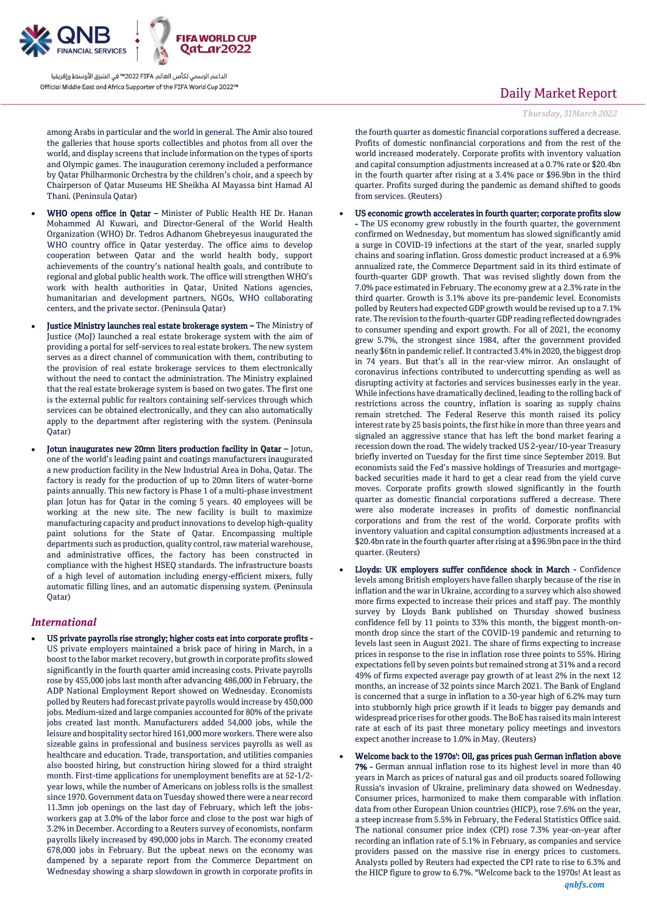

among Arabs in particular and the world in general. The Amir also toured the galleries that house sports collectibles and photos from all over the world, and display screens that include information on the types of sports and Olympic games. The inauguration ceremony included a performance by Qatar Philharmonic Orchestra by the children's choir, and a speech by Chairperson of Qatar Museums HE Sheikha Al Mayassa bint Hamad Al Thani. (Peninsula Qatar)

- WHO opens office in Qatar Minister of Public Health HE Dr. Hanan Mohammed Al Kuwari, and Director-General of the World Health Organization (WHO) Dr. Tedros Adhanom Ghebreyesus inaugurated the WHO country office in Qatar yesterday. The office aims to develop cooperation between Qatar and the world health body, support achievements of the country's national health goals, and contribute to regional and global public health work. The office will strengthen WHO's work with health authorities in Qatar, United Nations agencies, humanitarian and development partners, NGOs, WHO collaborating centers, and the private sector. (Peninsula Qatar)
- Justice Ministry launches real estate brokerage system The Ministry of Justice (MoJ) launched a real estate brokerage system with the aim of providing a portal for self-services to real estate brokers. The new system serves as a direct channel of communication with them, contributing to the provision of real estate brokerage services to them electronically without the need to contact the administration. The Ministry explained that the real estate brokerage system is based on two gates. The first one is the external public for realtors containing self-services through which services can be obtained electronically, and they can also automatically apply to the department after registering with the system. (Peninsula Qatar)
- Jotun inaugurates new 20mn liters production facility in Qatar Jotun, one of the world's leading paint and coatings manufacturers inaugurated a new production facility in the New Industrial Area in Doha, Qatar. The factory is ready for the production of up to 20mn liters of water-borne paints annually. This new factory is Phase 1 of a multi-phase investment plan Jotun has for Qatar in the coming 5 years. 40 employees will be working at the new site. The new facility is built to maximize manufacturing capacity and product innovations to develop high-quality paint solutions for the State of Qatar. Encompassing multiple departments such as production, quality control, raw material warehouse, and administrative offices, the factory has been constructed in compliance with the highest HSEQ standards. The infrastructure boasts of a high level of automation including energy-efficient mixers, fully automatic filling lines, and an automatic dispensing system. (Peninsula Qatar)

### *International*

 US private payrolls rise strongly; higher costs eat into corporate profits - US private employers maintained a brisk pace of hiring in March, in a boost to the labor market recovery, but growth in corporate profits slowed significantly in the fourth quarter amid increasing costs. Private payrolls rose by 455,000 jobs last month after advancing 486,000 in February, the ADP National Employment Report showed on Wednesday. Economists polled by Reuters had forecast private payrolls would increase by 450,000 jobs. Medium-sized and large companies accounted for 80% of the private jobs created last month. Manufacturers added 54,000 jobs, while the leisure and hospitality sector hired 161,000 more workers. There were also sizeable gains in professional and business services payrolls as well as healthcare and education. Trade, transportation, and utilities companies also boosted hiring, but construction hiring slowed for a third straight month. First-time applications for unemployment benefits are at 52-1/2 year lows, while the number of Americans on jobless rolls is the smallest since 1970. Government data on Tuesday showed there were a near record 11.3mn job openings on the last day of February, which left the jobsworkers gap at 3.0% of the labor force and close to the post war high of 3.2% in December. According to a Reuters survey of economists, nonfarm payrolls likely increased by 490,000 jobs in March. The economy created 678,000 jobs in February. But the upbeat news on the economy was dampened by a separate report from the Commerce Department on Wednesday showing a sharp slowdown in growth in corporate profits in

# Daily Market Report

#### *Thursday, 31March2022*

the fourth quarter as domestic financial corporations suffered a decrease. Profits of domestic nonfinancial corporations and from the rest of the world increased moderately. Corporate profits with inventory valuation and capital consumption adjustments increased at a 0.7% rate or \$20.4bn in the fourth quarter after rising at a 3.4% pace or \$96.9bn in the third quarter. Profits surged during the pandemic as demand shifted to goods from services. (Reuters)

- US economic growth accelerates in fourth quarter; corporate profits slow - The US economy grew robustly in the fourth quarter, the government confirmed on Wednesday, but momentum has slowed significantly amid a surge in COVID-19 infections at the start of the year, snarled supply chains and soaring inflation. Gross domestic product increased at a 6.9% annualized rate, the Commerce Department said in its third estimate of fourth-quarter GDP growth. That was revised slightly down from the 7.0% pace estimated in February. The economy grew at a 2.3% rate in the third quarter. Growth is 3.1% above its pre-pandemic level. Economists polled by Reuters had expected GDP growth would be revised up to a 7.1% rate. The revision to the fourth-quarter GDP reading reflected downgrades to consumer spending and export growth. For all of 2021, the economy grew 5.7%, the strongest since 1984, after the government provided nearly \$6tn in pandemic relief. It contracted 3.4% in 2020, the biggest drop in 74 years. But that's all in the rear-view mirror. An onslaught of coronavirus infections contributed to undercutting spending as well as disrupting activity at factories and services businesses early in the year. While infections have dramatically declined, leading to the rolling back of restrictions across the country, inflation is soaring as supply chains remain stretched. The Federal Reserve this month raised its policy interest rate by 25 basis points, the first hike in more than three years and signaled an aggressive stance that has left the bond market fearing a recession down the road. The widely tracked US 2-year/10-year Treasury briefly inverted on Tuesday for the first time since September 2019. But economists said the Fed's massive holdings of Treasuries and mortgagebacked securities made it hard to get a clear read from the yield curve moves. Corporate profits growth slowed significantly in the fourth quarter as domestic financial corporations suffered a decrease. There were also moderate increases in profits of domestic nonfinancial corporations and from the rest of the world. Corporate profits with inventory valuation and capital consumption adjustments increased at a \$20.4bn rate in the fourth quarter after rising at a \$96.9bn pace in the third quarter. (Reuters)
- Lloyds: UK employers suffer confidence shock in March Confidence levels among British employers have fallen sharply because of the rise in inflation and the war in Ukraine, according to a survey which also showed more firms expected to increase their prices and staff pay. The monthly survey by Lloyds Bank published on Thursday showed business confidence fell by 11 points to 33% this month, the biggest month-onmonth drop since the start of the COVID-19 pandemic and returning to levels last seen in August 2021. The share of firms expecting to increase prices in response to the rise in inflation rose three points to 55%. Hiring expectations fell by seven points but remained strong at 31% and a record 49% of firms expected average pay growth of at least 2% in the next 12 months, an increase of 32 points since March 2021. The Bank of England is concerned that a surge in inflation to a 30-year high of 6.2% may turn into stubbornly high price growth if it leads to bigger pay demands and widespread price rises for other goods. The BoE has raised its main interest rate at each of its past three monetary policy meetings and investors expect another increase to 1.0% in May. (Reuters)
- Welcome back to the 1970s': Oil, gas prices push German inflation above 7% - German annual inflation rose to its highest level in more than 40 years in March as prices of natural gas and oil products soared following Russia's invasion of Ukraine, preliminary data showed on Wednesday. Consumer prices, harmonized to make them comparable with inflation data from other European Union countries (HICP), rose 7.6% on the year, a steep increase from 5.5% in February, the Federal Statistics Office said. The national consumer price index (CPI) rose 7.3% year-on-year after recording an inflation rate of 5.1% in February, as companies and service providers passed on the massive rise in energy prices to customers. Analysts polled by Reuters had expected the CPI rate to rise to 6.3% and the HICP figure to grow to 6.7%. "Welcome back to the 1970s! At least as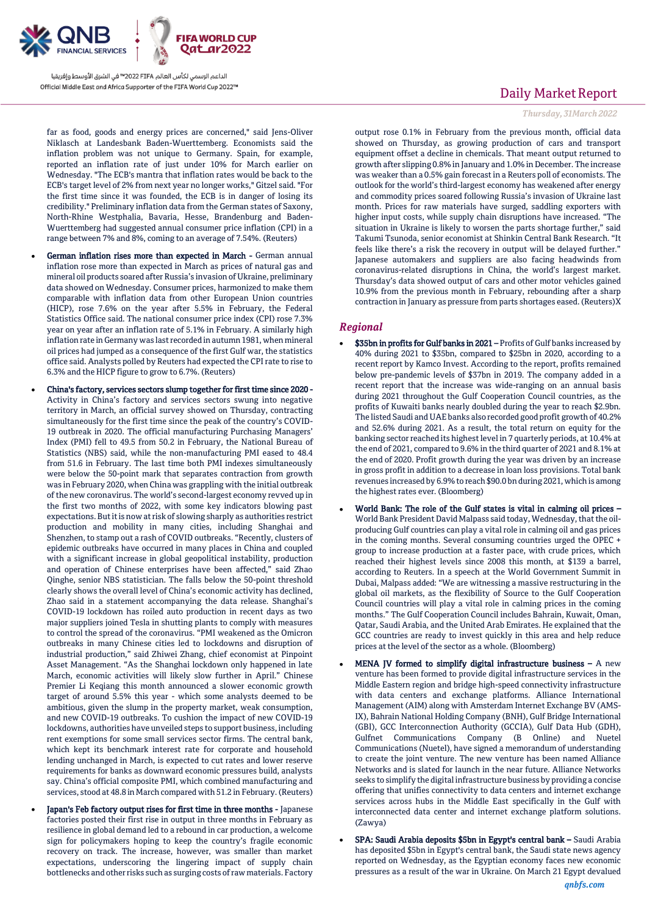

far as food, goods and energy prices are concerned," said Jens-Oliver Niklasch at Landesbank Baden-Wuerttemberg. Economists said the inflation problem was not unique to Germany. Spain, for example, reported an inflation rate of just under 10% for March earlier on Wednesday. "The ECB's mantra that inflation rates would be back to the ECB's target level of 2% from next year no longer works," Gitzel said. "For the first time since it was founded, the ECB is in danger of losing its credibility." Preliminary inflation data from the German states of Saxony, North-Rhine Westphalia, Bavaria, Hesse, Brandenburg and Baden-Wuerttemberg had suggested annual consumer price inflation (CPI) in a range between 7% and 8%, coming to an average of 7.54%. (Reuters)

- German inflation rises more than expected in March German annual inflation rose more than expected in March as prices of natural gas and mineral oil products soared after Russia's invasion of Ukraine, preliminary data showed on Wednesday. Consumer prices, harmonized to make them comparable with inflation data from other European Union countries (HICP), rose 7.6% on the year after 5.5% in February, the Federal Statistics Office said. The national consumer price index (CPI) rose 7.3% year on year after an inflation rate of 5.1% in February. A similarly high inflation rate in Germany was last recorded in autumn 1981, when mineral oil prices had jumped as a consequence of the first Gulf war, the statistics office said. Analysts polled by Reuters had expected the CPI rate to rise to 6.3% and the HICP figure to grow to 6.7%. (Reuters)
- China's factory, services sectors slump together for first time since 2020 Activity in China's factory and services sectors swung into negative territory in March, an official survey showed on Thursday, contracting simultaneously for the first time since the peak of the country's COVID-19 outbreak in 2020. The official manufacturing Purchasing Managers' Index (PMI) fell to 49.5 from 50.2 in February, the National Bureau of Statistics (NBS) said, while the non-manufacturing PMI eased to 48.4 from 51.6 in February. The last time both PMI indexes simultaneously were below the 50-point mark that separates contraction from growth was in February 2020, when China was grappling with the initial outbreak of the new coronavirus. The world's second-largest economy revved up in the first two months of 2022, with some key indicators blowing past expectations. But it is now at risk of slowing sharply as authorities restrict production and mobility in many cities, including Shanghai and Shenzhen, to stamp out a rash of COVID outbreaks. "Recently, clusters of epidemic outbreaks have occurred in many places in China and coupled with a significant increase in global geopolitical instability, production and operation of Chinese enterprises have been affected," said Zhao Qinghe, senior NBS statistician. The falls below the 50-point threshold clearly shows the overall level of China's economic activity has declined, Zhao said in a statement accompanying the data release. Shanghai's COVID-19 lockdown has roiled auto production in recent days as two major suppliers joined Tesla in shutting plants to comply with measures to control the spread of the coronavirus. "PMI weakened as the Omicron outbreaks in many Chinese cities led to lockdowns and disruption of industrial production," said Zhiwei Zhang, chief economist at Pinpoint Asset Management. "As the Shanghai lockdown only happened in late March, economic activities will likely slow further in April." Chinese Premier Li Keqiang this month announced a slower economic growth target of around 5.5% this year - which some analysts deemed to be ambitious, given the slump in the property market, weak consumption, and new COVID-19 outbreaks. To cushion the impact of new COVID-19 lockdowns, authorities have unveiled steps to support business, including rent exemptions for some small services sector firms. The central bank, which kept its benchmark interest rate for corporate and household lending unchanged in March, is expected to cut rates and lower reserve requirements for banks as downward economic pressures build, analysts say. China's official composite PMI, which combined manufacturing and services, stood at 48.8 in March compared with 51.2 in February. (Reuters)
- Japan's Feb factory output rises for first time in three months Japanese factories posted their first rise in output in three months in February as resilience in global demand led to a rebound in car production, a welcome sign for policymakers hoping to keep the country's fragile economic recovery on track. The increase, however, was smaller than market expectations, underscoring the lingering impact of supply chain bottlenecks and other risks such as surging costs of raw materials. Factory

## Daily Market Report

### *Thursday, 31March2022*

output rose 0.1% in February from the previous month, official data showed on Thursday, as growing production of cars and transport equipment offset a decline in chemicals. That meant output returned to growth after slipping 0.8% in January and 1.0% in December. The increase was weaker than a 0.5% gain forecast in a Reuters poll of economists. The outlook for the world's third-largest economy has weakened after energy and commodity prices soared following Russia's invasion of Ukraine last month. Prices for raw materials have surged, saddling exporters with higher input costs, while supply chain disruptions have increased. "The situation in Ukraine is likely to worsen the parts shortage further," said Takumi Tsunoda, senior economist at Shinkin Central Bank Research. "It feels like there's a risk the recovery in output will be delayed further." Japanese automakers and suppliers are also facing headwinds from coronavirus-related disruptions in China, the world's largest market. Thursday's data showed output of cars and other motor vehicles gained 10.9% from the previous month in February, rebounding after a sharp contraction in January as pressure from parts shortages eased. (Reuters)X

### *Regional*

- \$35bn in profits for Gulf banks in 2021 Profits of Gulf banks increased by 40% during 2021 to \$35bn, compared to \$25bn in 2020, according to a recent report by Kamco Invest. According to the report, profits remained below pre-pandemic levels of \$37bn in 2019. The company added in a recent report that the increase was wide-ranging on an annual basis during 2021 throughout the Gulf Cooperation Council countries, as the profits of Kuwaiti banks nearly doubled during the year to reach \$2.9bn. The listed Saudi and UAE banks also recorded good profit growth of 40.2% and 52.6% during 2021. As a result, the total return on equity for the banking sector reached its highest level in 7 quarterly periods, at 10.4% at the end of 2021, compared to 9.6% in the third quarter of 2021 and 8.1% at the end of 2020. Profit growth during the year was driven by an increase in gross profit in addition to a decrease in loan loss provisions. Total bank revenues increased by 6.9% to reach \$90.0 bn during 2021, which is among the highest rates ever. (Bloomberg)
- World Bank: The role of the Gulf states is vital in calming oil prices World Bank President David Malpass said today, Wednesday, that the oilproducing Gulf countries can play a vital role in calming oil and gas prices in the coming months. Several consuming countries urged the OPEC + group to increase production at a faster pace, with crude prices, which reached their highest levels since 2008 this month, at \$139 a barrel, according to Reuters. In a speech at the World Government Summit in Dubai, Malpass added: "We are witnessing a massive restructuring in the global oil markets, as the flexibility of Source to the Gulf Cooperation Council countries will play a vital role in calming prices in the coming months." The Gulf Cooperation Council includes Bahrain, Kuwait, Oman, Qatar, Saudi Arabia, and the United Arab Emirates. He explained that the GCC countries are ready to invest quickly in this area and help reduce prices at the level of the sector as a whole. (Bloomberg)
- MENA JV formed to simplify digital infrastructure business A new venture has been formed to provide digital infrastructure services in the Middle Eastern region and bridge high-speed connectivity infrastructure with data centers and exchange platforms. Alliance International Management (AIM) along with Amsterdam Internet Exchange BV (AMS-IX), Bahrain National Holding Company (BNH), Gulf Bridge International (GBI), GCC Interconnection Authority (GCCIA), Gulf Data Hub (GDH), Gulfnet Communications Company (B Online) and Nuetel Communications (Nuetel), have signed a memorandum of understanding to create the joint venture. The new venture has been named Alliance Networks and is slated for launch in the near future. Alliance Networks seeks to simplify the digital infrastructure business by providing a concise offering that unifies connectivity to data centers and internet exchange services across hubs in the Middle East specifically in the Gulf with interconnected data center and internet exchange platform solutions. (Zawya)
- SPA: Saudi Arabia deposits \$5bn in Egypt's central bank Saudi Arabia has deposited \$5bn in Egypt's central bank, the Saudi state news agency reported on Wednesday, as the Egyptian economy faces new economic pressures as a result of the war in Ukraine. On March 21 Egypt devalued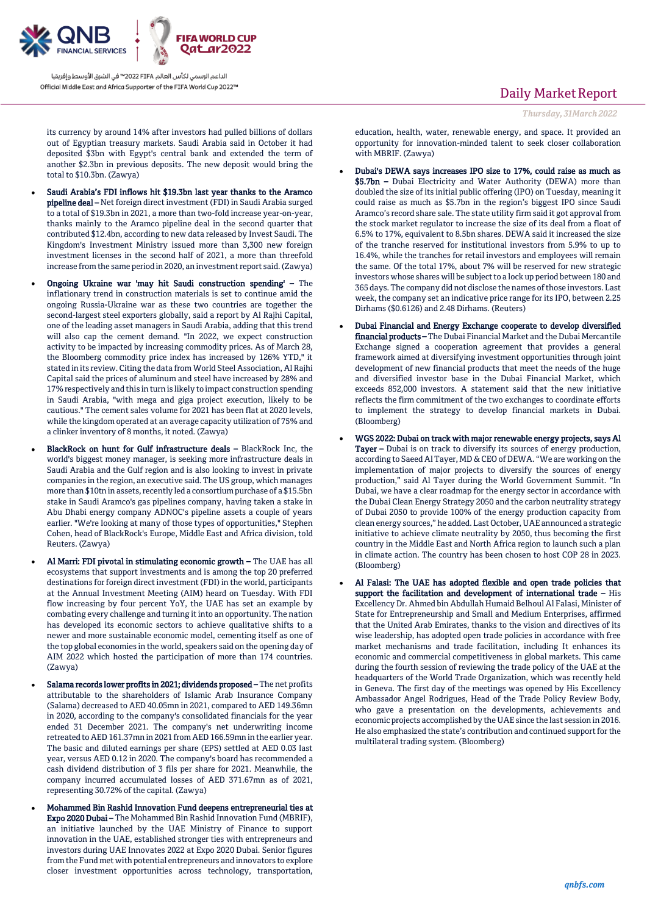

its currency by around 14% after investors had pulled billions of dollars out of Egyptian treasury markets. Saudi Arabia said in October it had deposited \$3bn with Egypt's central bank and extended the term of another \$2.3bn in previous deposits. The new deposit would bring the total to \$10.3bn. (Zawya)

- Saudi Arabia's FDI inflows hit \$19.3bn last year thanks to the Aramco pipeline deal – Net foreign direct investment (FDI) in Saudi Arabia surged to a total of \$19.3bn in 2021, a more than two-fold increase year-on-year, thanks mainly to the Aramco pipeline deal in the second quarter that contributed \$12.4bn, according to new data released by Invest Saudi. The Kingdom's Investment Ministry issued more than 3,300 new foreign investment licenses in the second half of 2021, a more than threefold increase from the same period in 2020, an investment report said. (Zawya)
- Ongoing Ukraine war 'may hit Saudi construction spending' The inflationary trend in construction materials is set to continue amid the ongoing Russia-Ukraine war as these two countries are together the second-largest steel exporters globally, said a report by Al Rajhi Capital, one of the leading asset managers in Saudi Arabia, adding that this trend will also cap the cement demand. "In 2022, we expect construction activity to be impacted by increasing commodity prices. As of March 28, the Bloomberg commodity price index has increased by 126% YTD," it stated in its review. Citing the data from World Steel Association, Al Rajhi Capital said the prices of aluminum and steel have increased by 28% and 17% respectively and this in turn is likely to impact construction spending in Saudi Arabia, "with mega and giga project execution, likely to be cautious." The cement sales volume for 2021 has been flat at 2020 levels, while the kingdom operated at an average capacity utilization of 75% and a clinker inventory of 8 months, it noted. (Zawya)
- BlackRock on hunt for Gulf infrastructure deals BlackRock Inc, the world's biggest money manager, is seeking more infrastructure deals in Saudi Arabia and the Gulf region and is also looking to invest in private companies in the region, an executive said. The US group, which manages more than \$10tn in assets, recently led a consortium purchase of a \$15.5bn stake in Saudi Aramco's gas pipelines company, having taken a stake in Abu Dhabi energy company ADNOC's pipeline assets a couple of years earlier. "We're looking at many of those types of opportunities," Stephen Cohen, head of BlackRock's Europe, Middle East and Africa division, told Reuters. (Zawya)
- Al Marri: FDI pivotal in stimulating economic growth The UAE has all ecosystems that support investments and is among the top 20 preferred destinations for foreign direct investment (FDI) in the world, participants at the Annual Investment Meeting (AIM) heard on Tuesday. With FDI flow increasing by four percent YoY, the UAE has set an example by combating every challenge and turning it into an opportunity. The nation has developed its economic sectors to achieve qualitative shifts to a newer and more sustainable economic model, cementing itself as one of the top global economies in the world, speakers said on the opening day of AIM 2022 which hosted the participation of more than 174 countries. (Zawya)
- Salama records lower profits in 2021; dividends proposed The net profits attributable to the shareholders of Islamic Arab Insurance Company (Salama) decreased to AED 40.05mn in 2021, compared to AED 149.36mn in 2020, according to the company's consolidated financials for the year ended 31 December 2021. The company's net underwriting income retreated to AED 161.37mn in 2021 from AED 166.59mn in the earlier year. The basic and diluted earnings per share (EPS) settled at AED 0.03 last year, versus AED 0.12 in 2020. The company's board has recommended a cash dividend distribution of 3 fils per share for 2021. Meanwhile, the company incurred accumulated losses of AED 371.67mn as of 2021, representing 30.72% of the capital. (Zawya)
- Mohammed Bin Rashid Innovation Fund deepens entrepreneurial ties at Expo 2020 Dubai – The Mohammed Bin Rashid Innovation Fund (MBRIF), an initiative launched by the UAE Ministry of Finance to support innovation in the UAE, established stronger ties with entrepreneurs and investors during UAE Innovates 2022 at Expo 2020 Dubai. Senior figures from the Fund met with potential entrepreneurs and innovators to explore closer investment opportunities across technology, transportation,

## Daily Market Report

*Thursday, 31March2022*

education, health, water, renewable energy, and space. It provided an opportunity for innovation-minded talent to seek closer collaboration with MBRIF. (Zawya)

- Dubai's DEWA says increases IPO size to 17%, could raise as much as \$5.7bn - Dubai Electricity and Water Authority (DEWA) more than doubled the size of its initial public offering (IPO) on Tuesday, meaning it could raise as much as \$5.7bn in the region's biggest IPO since Saudi Aramco's record share sale. The state utility firm said it got approval from the stock market regulator to increase the size of its deal from a float of 6.5% to 17%, equivalent to 8.5bn shares. DEWA said it increased the size of the tranche reserved for institutional investors from 5.9% to up to 16.4%, while the tranches for retail investors and employees will remain the same. Of the total 17%, about 7% will be reserved for new strategic investors whose shares will be subject to a lock up period between 180 and 365 days. The company did not disclose the names of those investors. Last week, the company set an indicative price range for its IPO, between 2.25 Dirhams (\$0.6126) and 2.48 Dirhams. (Reuters)
- Dubai Financial and Energy Exchange cooperate to develop diversified financial products – The Dubai Financial Market and the Dubai Mercantile Exchange signed a cooperation agreement that provides a general framework aimed at diversifying investment opportunities through joint development of new financial products that meet the needs of the huge and diversified investor base in the Dubai Financial Market, which exceeds 852,000 investors. A statement said that the new initiative reflects the firm commitment of the two exchanges to coordinate efforts to implement the strategy to develop financial markets in Dubai. (Bloomberg)
- WGS 2022: Dubai on track with major renewable energy projects, says Al Tayer – Dubai is on track to diversify its sources of energy production, according to Saeed Al Tayer, MD & CEO of DEWA. "We are working on the implementation of major projects to diversify the sources of energy production," said Al Tayer during the World Government Summit. "In Dubai, we have a clear roadmap for the energy sector in accordance with the Dubai Clean Energy Strategy 2050 and the carbon neutrality strategy of Dubai 2050 to provide 100% of the energy production capacity from clean energy sources," he added. Last October, UAE announced a strategic initiative to achieve climate neutrality by 2050, thus becoming the first country in the Middle East and North Africa region to launch such a plan in climate action. The country has been chosen to host COP 28 in 2023. (Bloomberg)
- Al Falasi: The UAE has adopted flexible and open trade policies that support the facilitation and development of international trade - His Excellency Dr. Ahmed bin Abdullah Humaid Belhoul Al Falasi, Minister of State for Entrepreneurship and Small and Medium Enterprises, affirmed that the United Arab Emirates, thanks to the vision and directives of its wise leadership, has adopted open trade policies in accordance with free market mechanisms and trade facilitation, including It enhances its economic and commercial competitiveness in global markets. This came during the fourth session of reviewing the trade policy of the UAE at the headquarters of the World Trade Organization, which was recently held in Geneva. The first day of the meetings was opened by His Excellency Ambassador Angel Rodrigues, Head of the Trade Policy Review Body, who gave a presentation on the developments, achievements and economic projects accomplished by the UAE since the last session in 2016. He also emphasized the state's contribution and continued support for the multilateral trading system. (Bloomberg)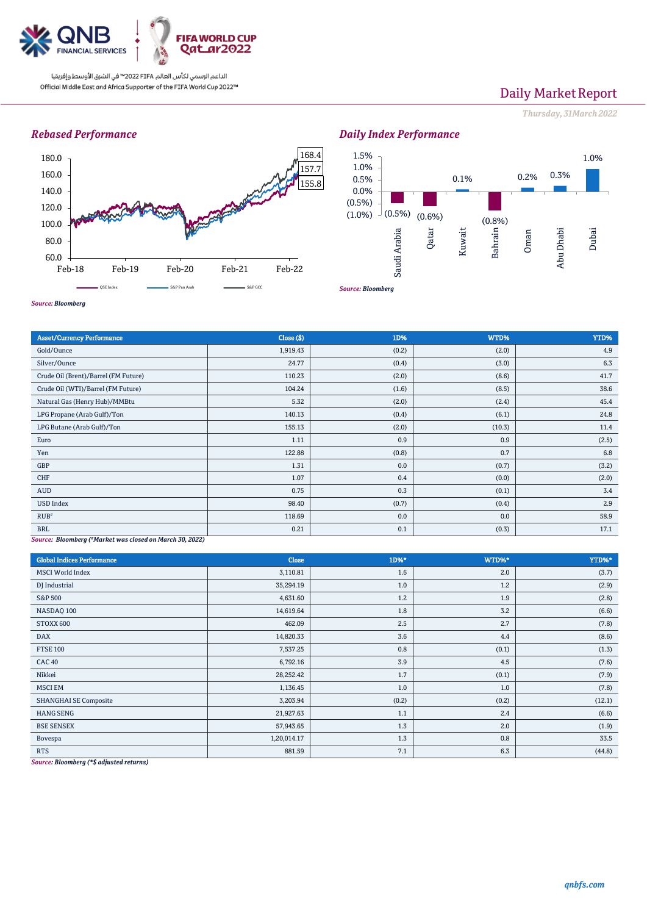

# Daily Market Report

*Thursday, 31March2022*

## *Rebased Performance*



# *Daily Index Performance*



*Source: Bloomberg*

| <b>Asset/Currency Performance</b>                        | Close ( \$) | 1D%   | WTD%   | YTD%  |  |  |
|----------------------------------------------------------|-------------|-------|--------|-------|--|--|
| Gold/Ounce                                               | 1,919.43    | (0.2) | (2.0)  | 4.9   |  |  |
| Silver/Ounce                                             | 24.77       | (0.4) | (3.0)  | 6.3   |  |  |
| Crude Oil (Brent)/Barrel (FM Future)                     | 110.23      | (2.0) | (8.6)  | 41.7  |  |  |
| Crude Oil (WTI)/Barrel (FM Future)                       | 104.24      | (1.6) | (8.5)  | 38.6  |  |  |
| Natural Gas (Henry Hub)/MMBtu                            | 5.32        | (2.0) | (2.4)  | 45.4  |  |  |
| LPG Propane (Arab Gulf)/Ton                              | 140.13      | (0.4) | (6.1)  | 24.8  |  |  |
| LPG Butane (Arab Gulf)/Ton                               | 155.13      | (2.0) | (10.3) | 11.4  |  |  |
| Euro                                                     | 1.11        | 0.9   | 0.9    | (2.5) |  |  |
| Yen                                                      | 122.88      | (0.8) | 0.7    | 6.8   |  |  |
| GBP                                                      | 1.31        | 0.0   | (0.7)  | (3.2) |  |  |
| <b>CHF</b>                                               | 1.07        | 0.4   | (0.0)  | (2.0) |  |  |
| AUD                                                      | 0.75        | 0.3   | (0.1)  | 3.4   |  |  |
| <b>USD Index</b>                                         | 98.40       | (0.7) | (0.4)  | 2.9   |  |  |
| RUB''                                                    | 118.69      | 0.0   | 0.0    | 58.9  |  |  |
| <b>BRL</b>                                               | 0.21        | 0.1   | (0.3)  | 17.1  |  |  |
| Source: Bloomberg (#Marbet was closed on March 30, 2022) |             |       |        |       |  |  |

*Source: Bloomberg ( #Market was closed on March 30, 2022)*

| <b>Global Indices Performance</b> | Close       | 1D%*  | WTD%* | YTD%*  |
|-----------------------------------|-------------|-------|-------|--------|
| <b>MSCI</b> World Index           | 3,110.81    | 1.6   | 2.0   | (3.7)  |
| DJ Industrial                     | 35,294.19   | 1.0   | 1.2   | (2.9)  |
| <b>S&amp;P 500</b>                | 4,631.60    | 1.2   | 1.9   | (2.8)  |
| NASDAQ 100                        | 14,619.64   | 1.8   | 3.2   | (6.6)  |
| STOXX 600                         | 462.09      | 2.5   | 2.7   | (7.8)  |
| <b>DAX</b>                        | 14,820.33   | 3.6   | 4.4   | (8.6)  |
| <b>FTSE 100</b>                   | 7,537.25    | 0.8   | (0.1) | (1.3)  |
| <b>CAC 40</b>                     | 6,792.16    | 3.9   | 4.5   | (7.6)  |
| Nikkei                            | 28,252.42   | 1.7   | (0.1) | (7.9)  |
| <b>MSCI EM</b>                    | 1,136.45    | 1.0   | 1.0   | (7.8)  |
| <b>SHANGHAI SE Composite</b>      | 3,203.94    | (0.2) | (0.2) | (12.1) |
| <b>HANG SENG</b>                  | 21,927.63   | 1.1   | 2.4   | (6.6)  |
| <b>BSE SENSEX</b>                 | 57,943.65   | 1.3   | 2.0   | (1.9)  |
| Bovespa                           | 1,20,014.17 | 1.3   | 0.8   | 33.5   |
| <b>RTS</b>                        | 881.59      | 7.1   | 6.3   | (44.8) |

*Source: Bloomberg (\*\$ adjusted returns)*